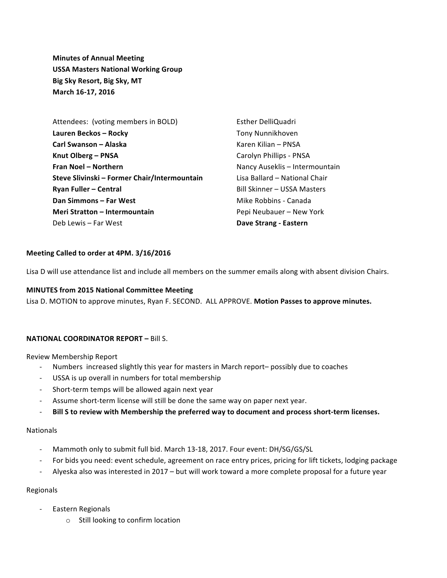**Minutes of Annual Meeting USSA Masters National Working Group Big Sky Resort, Big Sky, MT March 16-17, 2016**

Attendees: (voting members in BOLD) **Lauren Beckos – Rocky Carl Swanson – Alaska Knut Olberg – PNSA Fran Noel – Northern Steve Slivinski – Former Chair/Intermountain Ryan Fuller – Central Dan Simmons – Far West Meri Stratton – Intermountain** Deb Lewis – Far West

Esther DelliQuadri Tony Nunnikhoven Karen Kilian – PNSA Carolyn Phillips - PNSA Nancy Auseklis – Intermountain Lisa Ballard - National Chair Bill Skinner – USSA Masters Mike Robbins - Canada Pepi Neubauer – New York **Dave Strang - Eastern**

### **Meeting Called to order at 4PM. 3/16/2016**

Lisa D will use attendance list and include all members on the summer emails along with absent division Chairs.

# **MINUTES from 2015 National Committee Meeting**

Lisa D. MOTION to approve minutes, Ryan F. SECOND. ALL APPROVE. Motion Passes to approve minutes.

### **NATIONAL COORDINATOR REPORT – Bill S.**

Review Membership Report

- Numbers increased slightly this year for masters in March report– possibly due to coaches
- USSA is up overall in numbers for total membership
- Short-term temps will be allowed again next year
- Assume short-term license will still be done the same way on paper next year.
- Bill S to review with Membership the preferred way to document and process short-term licenses.

#### Nationals

- Mammoth only to submit full bid. March 13-18, 2017. Four event: DH/SG/GS/SL
- For bids you need: event schedule, agreement on race entry prices, pricing for lift tickets, lodging package
- Alyeska also was interested in 2017 but will work toward a more complete proposal for a future year

### Regionals

- Eastern Regionals
	- $\circ$  Still looking to confirm location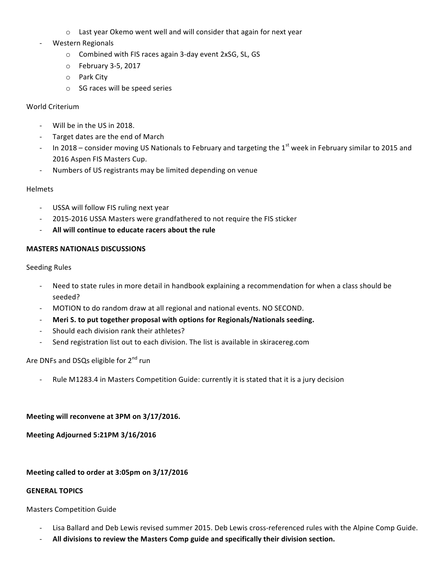- $\circ$  Last year Okemo went well and will consider that again for next year
- Western Regionals
	- o Combined with FIS races again 3-day event 2xSG, SL, GS
	- $\circ$  February 3-5, 2017
	- o Park City
	- $\circ$  SG races will be speed series

### World Criterium

- Will be in the US in 2018.
- Target dates are the end of March
- In 2018 consider moving US Nationals to February and targeting the  $1<sup>st</sup>$  week in February similar to 2015 and 2016 Aspen FIS Masters Cup.
- Numbers of US registrants may be limited depending on venue

### Helmets

- USSA will follow FIS ruling next year
- 2015-2016 USSA Masters were grandfathered to not require the FIS sticker
- All will continue to educate racers about the rule

### **MASTERS NATIONALS DISCUSSIONS**

Seeding Rules

- Need to state rules in more detail in handbook explaining a recommendation for when a class should be seeded?
- MOTION to do random draw at all regional and national events. NO SECOND.
- **Meri S. to put together proposal with options for Regionals/Nationals seeding.**
- Should each division rank their athletes?
- Send registration list out to each division. The list is available in skiracereg.com

Are DNFs and DSQs eligible for 2<sup>nd</sup> run

Rule M1283.4 in Masters Competition Guide: currently it is stated that it is a jury decision

### Meeting will reconvene at 3PM on 3/17/2016.

**Meeting Adjourned 5:21PM 3/16/2016**

# Meeting called to order at 3:05pm on 3/17/2016

### **GENERAL TOPICS**

**Masters Competition Guide** 

- Lisa Ballard and Deb Lewis revised summer 2015. Deb Lewis cross-referenced rules with the Alpine Comp Guide.
- All divisions to review the Masters Comp guide and specifically their division section.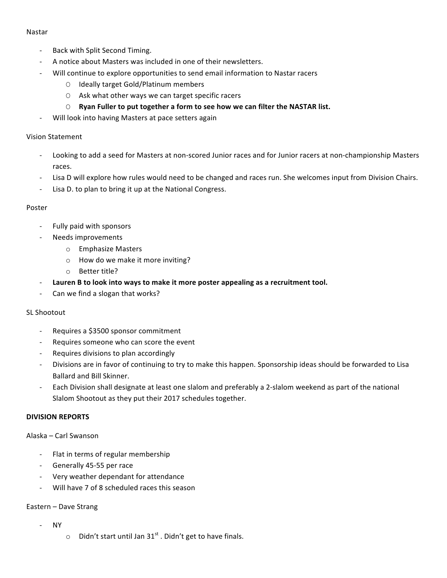### Nastar

- Back with Split Second Timing.
- A notice about Masters was included in one of their newsletters.
- Will continue to explore opportunities to send email information to Nastar racers
	- O Ideally target Gold/Platinum members
	- O Ask what other ways we can target specific racers
	- O Ryan Fuller to put together a form to see how we can filter the NASTAR list.
- Will look into having Masters at pace setters again

### Vision Statement

- Looking to add a seed for Masters at non-scored Junior races and for Junior racers at non-championship Masters races.
- Lisa D will explore how rules would need to be changed and races run. She welcomes input from Division Chairs.
- Lisa D. to plan to bring it up at the National Congress.

#### Poster

- Fully paid with sponsors
- Needs improvements
	- o Emphasize Masters
	- $\circ$  How do we make it more inviting?
	- $\circ$  Better title?
- Lauren B to look into ways to make it more poster appealing as a recruitment tool.
- Can we find a slogan that works?

### SL Shootout

- Requires a \$3500 sponsor commitment
- Requires someone who can score the event
- Requires divisions to plan accordingly
- Divisions are in favor of continuing to try to make this happen. Sponsorship ideas should be forwarded to Lisa Ballard and Bill Skinner.
- Each Division shall designate at least one slalom and preferably a 2-slalom weekend as part of the national Slalom Shootout as they put their 2017 schedules together.

### **DIVISION REPORTS**

Alaska – Carl Swanson

- Flat in terms of regular membership
- Generally 45-55 per race
- Very weather dependant for attendance
- Will have 7 of 8 scheduled races this season

### Eastern – Dave Strang

- NY
- $\circ$  Didn't start until Jan 31st . Didn't get to have finals.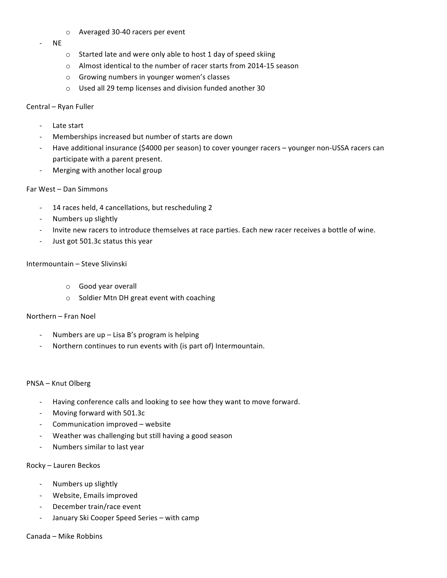- o Averaged 30-40 racers per event
- NE
- $\circ$  Started late and were only able to host 1 day of speed skiing
- $\circ$  Almost identical to the number of racer starts from 2014-15 season
- $\circ$  Growing numbers in younger women's classes
- $\circ$  Used all 29 temp licenses and division funded another 30

#### Central – Ryan Fuller

- Late start
- Memberships increased but number of starts are down
- Have additional insurance (\$4000 per season) to cover younger racers younger non-USSA racers can participate with a parent present.
- Merging with another local group

### Far West - Dan Simmons

- 14 races held, 4 cancellations, but rescheduling 2
- Numbers up slightly
- Invite new racers to introduce themselves at race parties. Each new racer receives a bottle of wine.
- Just got 501.3c status this year

#### Intermountain – Steve Slivinski

- o Good year overall
- o Soldier Mtn DH great event with coaching

### Northern - Fran Noel

- Numbers are  $up$  Lisa B's program is helping
- Northern continues to run events with (is part of) Intermountain.

#### PNSA – Knut Olberg

- Having conference calls and looking to see how they want to move forward.
- Moving forward with 501.3c
- Communication improved website
- Weather was challenging but still having a good season
- Numbers similar to last year

#### Rocky – Lauren Beckos

- Numbers up slightly
- Website, Emails improved
- December train/race event
- January Ski Cooper Speed Series with camp

Canada – Mike Robbins